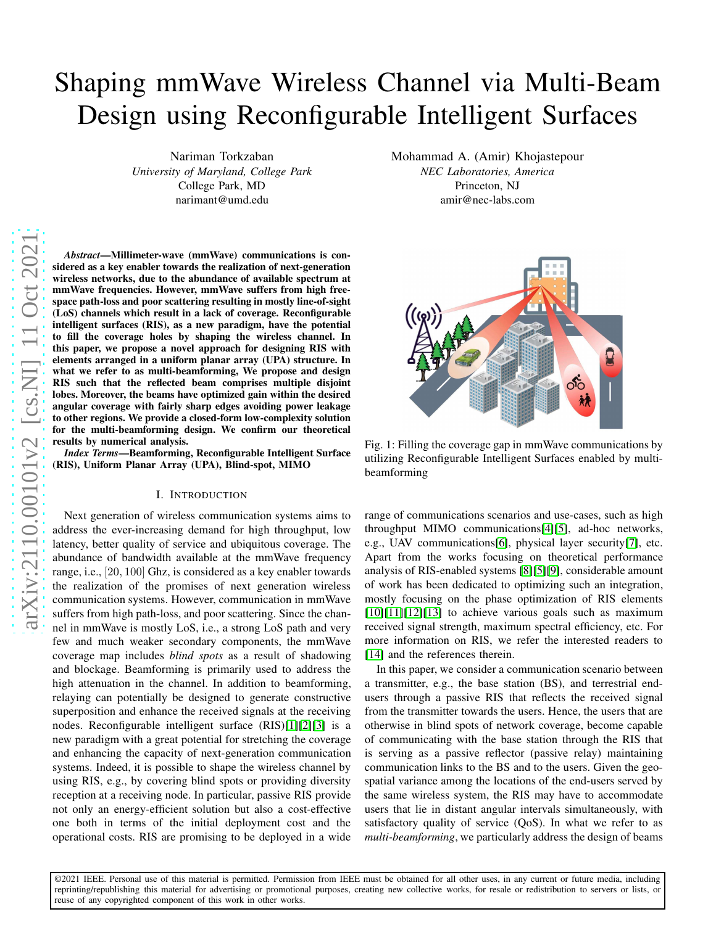# Shaping mmWave Wireless Channel via Multi-Beam Design using Reconfigurable Intelligent Surfaces

Nariman Torkzaban *University of Maryland, College Park* College Park, MD narimant@umd.edu

*Abstract*—Millimeter-wave (mmWave) communications is considered as a key enabler towards the realization of next-generation wireless networks, due to the abundance of available spectrum at mmWave frequencies. However, mmWave suffers from high free space path-loss and poor scattering resulting in mostly line-of-sight (LoS) channels which result in a lack of coverage. Reconfigurable intelligent surfaces (RIS), as a new paradigm, have the potential to fill the coverage holes by shaping the wireless channel. In this paper, we propose a novel approach for designing RIS wit h elements arranged in a uniform planar array (UPA) structure. In what we refer to as multi-beamforming, We propose and design RIS such that the reflected beam comprises multiple disjoint lobes. Moreover, the beams have optimized gain within the desired angular coverage with fairly sharp edges avoiding power leakage to other regions. We provide a closed-form low-complexity solution for the multi-beamforming design. We confirm our theoretica l results by numerical analysis.

*Index Terms*—Beamforming, Reconfigurable Intelligent Surface (RIS), Uniform Planar Array (UPA), Blind-spot, MIMO

#### I. INTRODUCTION

Next generation of wireless communication systems aims to address the ever-increasing demand for high throughput, lo w latency, better quality of service and ubiquitous coverage. The abundance of bandwidth available at the mmWave frequency range, i.e., [20 , 100] Ghz, is considered as a key enabler towards the realization of the promises of next generation wireless communication systems. However, communication in mmWave suffers from high path-loss, and poor scattering. Since the channel in mmWave is mostly LoS, i.e., a strong LoS path and very few and much weaker secondary components, the mmWave coverage map includes *blind spots* as a result of shadowing and blockage. Beamforming is primarily used to address the high attenuation in the channel. In addition to beamforming, relaying can potentially be designed to generate constructive superposition and enhance the received signals at the receiving nodes. Reconfigurable intelligent surface (RIS)[\[1\]](#page-5-0)[\[2\]](#page-5-1)[\[3\]](#page-5-2) is a new paradigm with a great potential for stretching the coverage and enhancing the capacity of next-generation communication systems. Indeed, it is possible to shape the wireless channel by using RIS, e.g., by covering blind spots or providing diversity reception at a receiving node. In particular, passive RIS provide not only an energy-efficient solution but also a cost-effective one both in terms of the initial deployment cost and the operational costs. RIS are promising to be deployed in a wide

Mohammad A. (Amir) Khojastepour *NEC Laboratories, America* Princeton, NJ amir@nec-labs.com

<span id="page-0-0"></span>

Fig. 1: Filling the coverage gap in mmWave communications by utilizing Reconfigurable Intelligent Surfaces enabled by multibeamforming

range of communications scenarios and use-cases, such as high throughput MIMO communications[\[4\]](#page-5-3)[\[5\]](#page-5-4), ad-hoc networks, e.g., UAV communications[\[6\]](#page-5-5), physical layer security[\[7\]](#page-5-6), etc. Apart from the works focusing on theoretical performance analysis of RIS-enabled systems [\[8\]](#page-5-7)[\[5\]](#page-5-4)[\[9\]](#page-5-8), considerable amount of work has been dedicated to optimizing such an integration , mostly focusing on the phase optimization of RIS elements  $[10][11][12][13]$  $[10][11][12][13]$  $[10][11][12][13]$  $[10][11][12][13]$  to achieve various goals such as maximum received signal strength, maximum spectral efficiency, etc. For more information on RIS, we refer the interested readers to [\[14\]](#page-5-13) and the references therein.

In this paper, we consider a communication scenario between a transmitter, e.g., the base station (BS), and terrestrial endusers through a passive RIS that reflects the received signal from the transmitter towards the users. Hence, the users that are otherwise in blind spots of network coverage, become capabl e of communicating with the base station through the RIS that is serving as a passive reflector (passive relay) maintainin g communication links to the BS and to the users. Given the geospatial variance among the locations of the end-users served by the same wireless system, the RIS may have to accommodate users that lie in distant angular intervals simultaneously, with satisfactory quality of service (QoS). In what we refer to as *multi-beamforming*, we particularly address the design of beams

©2021 IEEE. Personal use of this material is permitted. Permission from IEEE must be obtained for all other uses, in any current or future media, including reprinting/republishing this material for advertising or promotional purposes, creating new collective works, for resale or redistribution to servers or lists, or reuse of any copyrighted component of this work in other works.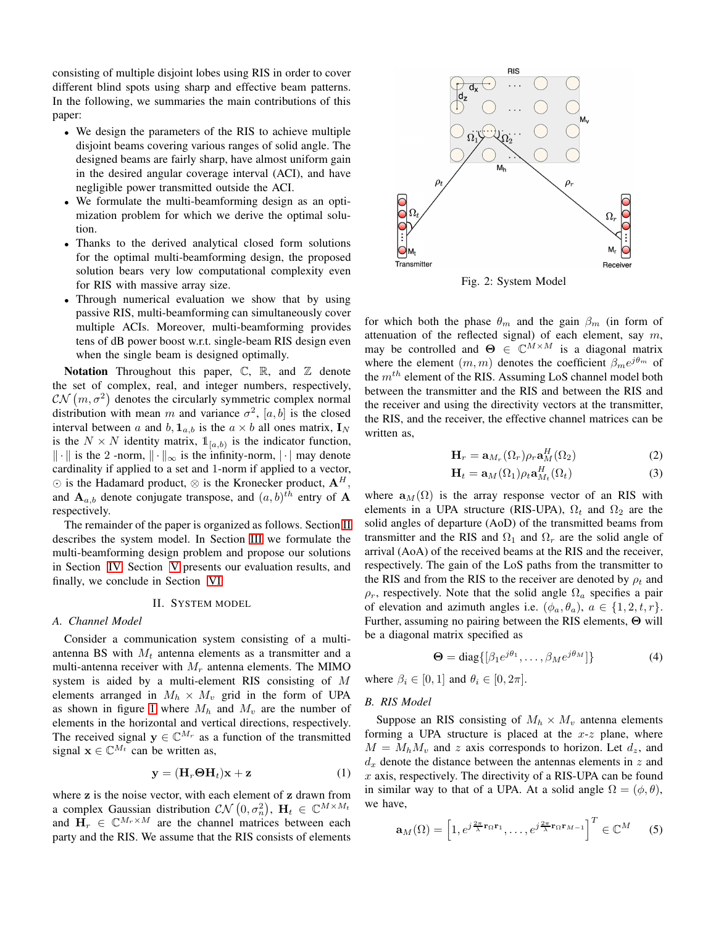consisting of multiple disjoint lobes using RIS in order to cover different blind spots using sharp and effective beam patterns. In the following, we summaries the main contributions of this paper:

- We design the parameters of the RIS to achieve multiple disjoint beams covering various ranges of solid angle. The designed beams are fairly sharp, have almost uniform gain in the desired angular coverage interval (ACI), and have negligible power transmitted outside the ACI.
- We formulate the multi-beamforming design as an optimization problem for which we derive the optimal solution.
- Thanks to the derived analytical closed form solutions for the optimal multi-beamforming design, the proposed solution bears very low computational complexity even for RIS with massive array size.
- Through numerical evaluation we show that by using passive RIS, multi-beamforming can simultaneously cover multiple ACIs. Moreover, multi-beamforming provides tens of dB power boost w.r.t. single-beam RIS design even when the single beam is designed optimally.

Notation Throughout this paper,  $\mathbb{C}$ ,  $\mathbb{R}$ , and  $\mathbb{Z}$  denote the set of complex, real, and integer numbers, respectively,  $CN(m, \sigma^2)$  denotes the circularly symmetric complex normal distribution with mean m and variance  $\sigma^2$ ,  $[a, b]$  is the closed interval between a and b,  $\mathbf{1}_{a,b}$  is the  $a \times b$  all ones matrix,  $\mathbf{I}_N$ is the  $N \times N$  identity matrix,  $\mathbb{1}_{[a,b)}$  is the indicator function,  $\|\cdot\|$  is the 2 -norm,  $\|\cdot\|_{\infty}$  is the infinity-norm,  $|\cdot|$  may denote cardinality if applied to a set and 1-norm if applied to a vector, ⊙ is the Hadamard product,  $\otimes$  is the Kronecker product,  $\mathbf{A}^H$ , and  $\mathbf{A}_{a,b}$  denote conjugate transpose, and  $(a,b)^{th}$  entry of  $\mathbf{A}$ respectively.

The remainder of the paper is organized as follows. Section [II](#page-1-0) describes the system model. In Section [III](#page-2-0) we formulate the multi-beamforming design problem and propose our solutions in Section [IV.](#page-4-0) Section [V](#page-4-1) presents our evaluation results, and finally, we conclude in Section [VI.](#page-5-14)

## II. SYSTEM MODEL

#### <span id="page-1-0"></span>*A. Channel Model*

Consider a communication system consisting of a multiantenna BS with  $M_t$  antenna elements as a transmitter and a multi-antenna receiver with  $M_r$  antenna elements. The MIMO system is aided by a multi-element RIS consisting of M elements arranged in  $M_h \times M_v$  grid in the form of UPA as shown in figure [1](#page-0-0) where  $M_h$  and  $M_v$  are the number of elements in the horizontal and vertical directions, respectively. The received signal  $y \in \mathbb{C}^{M_r}$  as a function of the transmitted signal  $\mathbf{x} \in \mathbb{C}^{M_t}$  can be written as,

$$
\mathbf{y} = (\mathbf{H}_r \mathbf{\Theta} \mathbf{H}_t) \mathbf{x} + \mathbf{z}
$$
 (1)

where z is the noise vector, with each element of z drawn from a complex Gaussian distribution  $CN(0, \sigma_n^2)$ ,  $\mathbf{H}_t \in \mathbb{C}^{M \times M_t}$ and  $H_r \in \mathbb{C}^{M_r \times M}$  are the channel matrices between each party and the RIS. We assume that the RIS consists of elements



Fig. 2: System Model

for which both the phase  $\theta_m$  and the gain  $\beta_m$  (in form of attenuation of the reflected signal) of each element, say  $m$ , may be controlled and  $\Theta \in \mathbb{C}^{M \times M}$  is a diagonal matrix where the element  $(m, m)$  denotes the coefficient  $\beta_m e^{j\theta_m}$  of the  $m^{th}$  element of the RIS. Assuming LoS channel model both between the transmitter and the RIS and between the RIS and the receiver and using the directivity vectors at the transmitter, the RIS, and the receiver, the effective channel matrices can be written as,

<span id="page-1-3"></span>
$$
\mathbf{H}_r = \mathbf{a}_{M_r}(\Omega_r)\rho_r \mathbf{a}_M^H(\Omega_2)
$$
 (2)

$$
\mathbf{H}_t = \mathbf{a}_M(\Omega_1)\rho_t \mathbf{a}_{M_t}^H(\Omega_t)
$$
 (3)

where  $a_M(\Omega)$  is the array response vector of an RIS with elements in a UPA structure (RIS-UPA),  $\Omega_t$  and  $\Omega_2$  are the solid angles of departure (AoD) of the transmitted beams from transmitter and the RIS and  $\Omega_1$  and  $\Omega_r$  are the solid angle of arrival (AoA) of the received beams at the RIS and the receiver, respectively. The gain of the LoS paths from the transmitter to the RIS and from the RIS to the receiver are denoted by  $\rho_t$  and  $\rho_r$ , respectively. Note that the solid angle  $\Omega_a$  specifies a pair of elevation and azimuth angles i.e.  $(\phi_a, \theta_a)$ ,  $a \in \{1, 2, t, r\}$ . Further, assuming no pairing between the RIS elements, Θ will be a diagonal matrix specified as

$$
\mathbf{\Theta} = \text{diag}\{[\beta_1 e^{j\theta_1}, \dots, \beta_M e^{j\theta_M}]\}\
$$
 (4)

where  $\beta_i \in [0, 1]$  and  $\theta_i \in [0, 2\pi]$ .

### *B. RIS Model*

<span id="page-1-2"></span>Suppose an RIS consisting of  $M_h \times M_v$  antenna elements forming a UPA structure is placed at the  $x-z$  plane, where  $M = M_h M_v$  and z axis corresponds to horizon. Let  $d_z$ , and  $d_x$  denote the distance between the antennas elements in z and  $x$  axis, respectively. The directivity of a RIS-UPA can be found in similar way to that of a UPA. At a solid angle  $\Omega = (\phi, \theta)$ , we have,

<span id="page-1-1"></span>
$$
\mathbf{a}_{M}(\Omega) = \left[1, e^{j\frac{2\pi}{\lambda}\mathbf{r}_{\Omega}\mathbf{r}_{1}}, \ldots, e^{j\frac{2\pi}{\lambda}\mathbf{r}_{\Omega}\mathbf{r}_{M-1}}\right]^{T} \in \mathbb{C}^{M}
$$
 (5)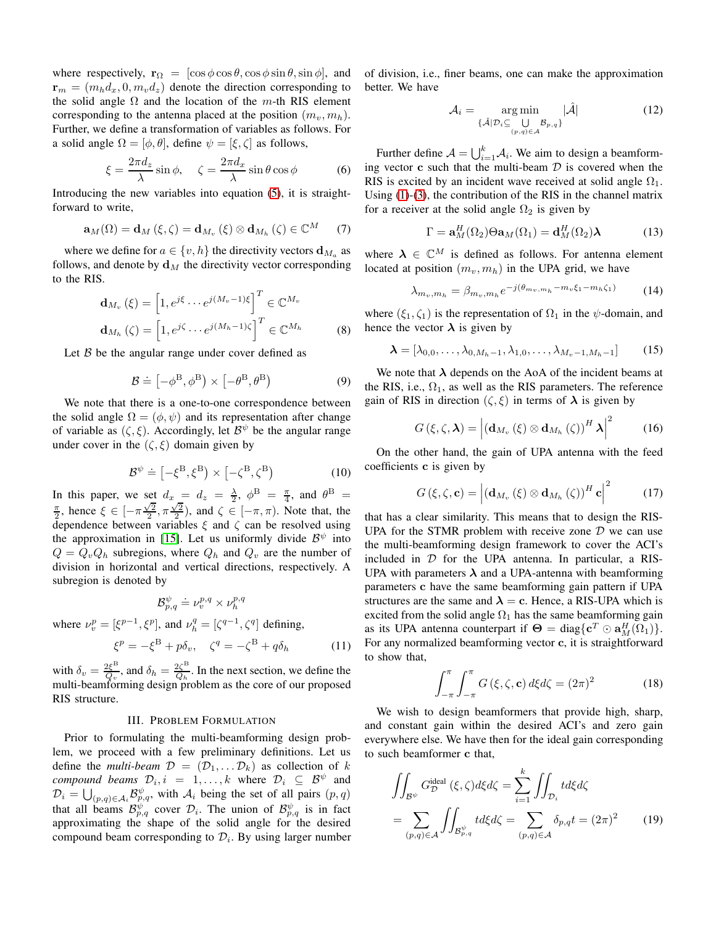where respectively,  $\mathbf{r}_{\Omega} = [\cos \phi \cos \theta, \cos \phi \sin \theta, \sin \phi]$ , and  $\mathbf{r}_m = (m_h d_x, 0, m_v d_z)$  denote the direction corresponding to the solid angle  $\Omega$  and the location of the m-th RIS element corresponding to the antenna placed at the position  $(m_v, m_h)$ . Further, we define a transformation of variables as follows. For a solid angle  $\Omega = [\phi, \theta]$ , define  $\psi = [\xi, \zeta]$  as follows,

$$
\xi = \frac{2\pi d_z}{\lambda} \sin \phi, \quad \zeta = \frac{2\pi d_x}{\lambda} \sin \theta \cos \phi \tag{6}
$$

Introducing the new variables into equation [\(5\)](#page-1-1), it is straightforward to write,

$$
\mathbf{a}_{M}(\Omega)=\mathbf{d}_{M}\left(\xi,\zeta\right)=\mathbf{d}_{M_{v}}\left(\xi\right)\otimes\mathbf{d}_{M_{h}}\left(\zeta\right)\in\mathbb{C}^{M}\qquad(7)
$$

where we define for  $a \in \{v, h\}$  the directivity vectors  $\mathbf{d}_{M_a}$  as follows, and denote by  $\mathbf{d}_M$  the directivity vector corresponding to the RIS.

$$
\mathbf{d}_{M_v}(\xi) = \left[1, e^{j\xi} \cdots e^{j(M_v - 1)\xi}\right]^T \in \mathbb{C}^{M_v}
$$

$$
\mathbf{d}_{M_h}(\zeta) = \left[1, e^{j\zeta} \cdots e^{j(M_h - 1)\zeta}\right]^T \in \mathbb{C}^{M_h}
$$
(8)

Let  $\beta$  be the angular range under cover defined as

$$
\mathcal{B} \doteq \left[ -\phi^{\mathcal{B}}, \phi^{\mathcal{B}} \right) \times \left[ -\theta^{\mathcal{B}}, \theta^{\mathcal{B}} \right) \tag{9}
$$

We note that there is a one-to-one correspondence between the solid angle  $\Omega = (\phi, \psi)$  and its representation after change of variable as  $(\zeta, \xi)$ . Accordingly, let  $\mathcal{B}^{\psi}$  be the angular range under cover in the  $(\zeta, \xi)$  domain given by

$$
\mathcal{B}^{\psi} \doteq \left[ -\xi^{\mathcal{B}}, \xi^{\mathcal{B}} \right) \times \left[ -\zeta^{\mathcal{B}}, \zeta^{\mathcal{B}} \right) \tag{10}
$$

In this paper, we set  $d_x = d_z = \frac{\lambda}{2}$ ,  $\phi^B = \frac{\pi}{4}$ , and  $\theta^B =$  $\frac{\pi}{2}$ , hence  $\xi \in [-\pi\frac{\sqrt{2}}{2}, \pi\frac{\sqrt{2}}{2})$ , and  $\zeta \in [-\pi, \pi)$ . Note that, the dependence between variables  $\xi$  and  $\zeta$  can be resolved using the approximation in [\[15\]](#page-5-15). Let us uniformly divide  $\mathcal{B}^{\psi}$  into  $Q = Q_v Q_h$  subregions, where  $Q_h$  and  $Q_v$  are the number of division in horizontal and vertical directions, respectively. A subregion is denoted by

$$
\mathcal{B}^{\psi}_{p,q} \doteq \nu^{p,q}_v \times \nu^{p,q}_h
$$

where  $\nu_v^p = [\xi^{p-1}, \xi^p]$ , and  $\nu_h^q = [\zeta^{q-1}, \zeta^q]$  defining,

$$
\xi^p = -\xi^{\mathcal{B}} + p\delta_v, \quad \zeta^q = -\zeta^{\mathcal{B}} + q\delta_h \tag{11}
$$

with  $\delta_v = \frac{2\xi^{\text{B}}}{Q_v}$  $\frac{2\xi^{\text{B}}}{Q_v}$ , and  $\delta_h = \frac{2\zeta^{\text{B}}}{Q_h}$  $\frac{2\zeta}{Q_h}$ . In the next section, we define the multi-beamforming design problem as the core of our proposed RIS structure.

#### III. PROBLEM FORMULATION

<span id="page-2-0"></span>Prior to formulating the multi-beamforming design problem, we proceed with a few preliminary definitions. Let us define the *multi-beam*  $\mathcal{D} = (\mathcal{D}_1, \dots \mathcal{D}_k)$  as collection of k *compound beams*  $\mathcal{D}_i, i = 1, \ldots, k$  where  $\mathcal{D}_i \subseteq \mathcal{B}^{\psi}$  and  $\mathcal{D}_i = \bigcup_{(p,q)\in\mathcal{A}_i} \mathcal{B}_{p,q}^{\psi}$ , with  $\mathcal{A}_i$  being the set of all pairs  $(p,q)$ that all beams  $\mathcal{B}_{p,q}^{\psi}$  cover  $\mathcal{D}_i$ . The union of  $\mathcal{B}_{p,q}^{\psi}$  is in fact approximating the shape of the solid angle for the desired compound beam corresponding to  $\mathcal{D}_i$ . By using larger number of division, i.e., finer beams, one can make the approximation better. We have

$$
\mathcal{A}_i = \underset{\{\hat{\mathcal{A}}|\mathcal{D}_i \subseteq \bigcup_{(p,q)\in\mathcal{A}} \mathcal{B}_{p,q}\}}{\arg \min} |\hat{\mathcal{A}}| \tag{12}
$$

Further define  $A = \bigcup_{i=1}^{k} A_i$ . We aim to design a beamforming vector  $\bf{c}$  such that the multi-beam  $\mathcal D$  is covered when the RIS is excited by an incident wave received at solid angle  $\Omega_1$ . Using [\(1\)](#page-1-2)-[\(3\)](#page-1-3), the contribution of the RIS in the channel matrix for a receiver at the solid angle  $\Omega_2$  is given by

$$
\Gamma = \mathbf{a}_M^H(\Omega_2)\Theta \mathbf{a}_M(\Omega_1) = \mathbf{d}_M^H(\Omega_2)\boldsymbol{\lambda}
$$
 (13)

where  $\lambda \in \mathbb{C}^M$  is defined as follows. For antenna element located at position  $(m_v, m_h)$  in the UPA grid, we have

$$
\lambda_{m_v, m_h} = \beta_{m_v, m_h} e^{-j(\theta_{m_v, m_h} - m_v \xi_1 - m_h \zeta_1)} \tag{14}
$$

where  $(\xi_1, \zeta_1)$  is the representation of  $\Omega_1$  in the  $\psi$ -domain, and hence the vector  $\lambda$  is given by

$$
\boldsymbol{\lambda} = [\lambda_{0,0}, \dots, \lambda_{0,M_h-1}, \lambda_{1,0}, \dots, \lambda_{M_v-1,M_h-1}] \qquad (15)
$$

We note that  $\lambda$  depends on the AoA of the incident beams at the RIS, i.e.,  $\Omega_1$ , as well as the RIS parameters. The reference gain of RIS in direction  $(\zeta, \xi)$  in terms of  $\lambda$  is given by

$$
G(\xi, \zeta, \boldsymbol{\lambda}) = \left| \left( \mathbf{d}_{M_v} \left( \xi \right) \otimes \mathbf{d}_{M_h} \left( \zeta \right) \right)^H \boldsymbol{\lambda} \right|^2 \tag{16}
$$

On the other hand, the gain of UPA antenna with the feed coefficients c is given by

$$
G(\xi, \zeta, \mathbf{c}) = \left| \left( \mathbf{d}_{M_v} \left( \xi \right) \otimes \mathbf{d}_{M_h} \left( \zeta \right) \right)^H \mathbf{c} \right|^2 \tag{17}
$$

that has a clear similarity. This means that to design the RIS-UPA for the STMR problem with receive zone  $D$  we can use the multi-beamforming design framework to cover the ACI's included in  $D$  for the UPA antenna. In particular, a RIS-UPA with parameters  $\lambda$  and a UPA-antenna with beamforming parameters c have the same beamforming gain pattern if UPA structures are the same and  $\lambda = c$ . Hence, a RIS-UPA which is excited from the solid angle  $\Omega_1$  has the same beamforming gain as its UPA antenna counterpart if  $\Theta = \text{diag}\{\mathbf{c}^T \odot \mathbf{a}_M^H(\Omega_1)\}.$ For any normalized beamforming vector c, it is straightforward to show that,

$$
\int_{-\pi}^{\pi} \int_{-\pi}^{\pi} G\left(\xi, \zeta, \mathbf{c}\right) d\xi d\zeta = (2\pi)^2 \tag{18}
$$

We wish to design beamformers that provide high, sharp, and constant gain within the desired ACI's and zero gain everywhere else. We have then for the ideal gain corresponding to such beamformer c that,

$$
\iint_{\mathcal{B}^{\psi}} G_{\mathcal{D}}^{\text{ideal}}(\xi, \zeta) d\xi d\zeta = \sum_{i=1}^{k} \iint_{\mathcal{D}_{i}} t d\xi d\zeta
$$
\n
$$
= \sum_{(p,q) \in \mathcal{A}} \iint_{\mathcal{B}_{p,q}^{\psi}} t d\xi d\zeta = \sum_{(p,q) \in \mathcal{A}} \delta_{p,q} t = (2\pi)^{2} \tag{19}
$$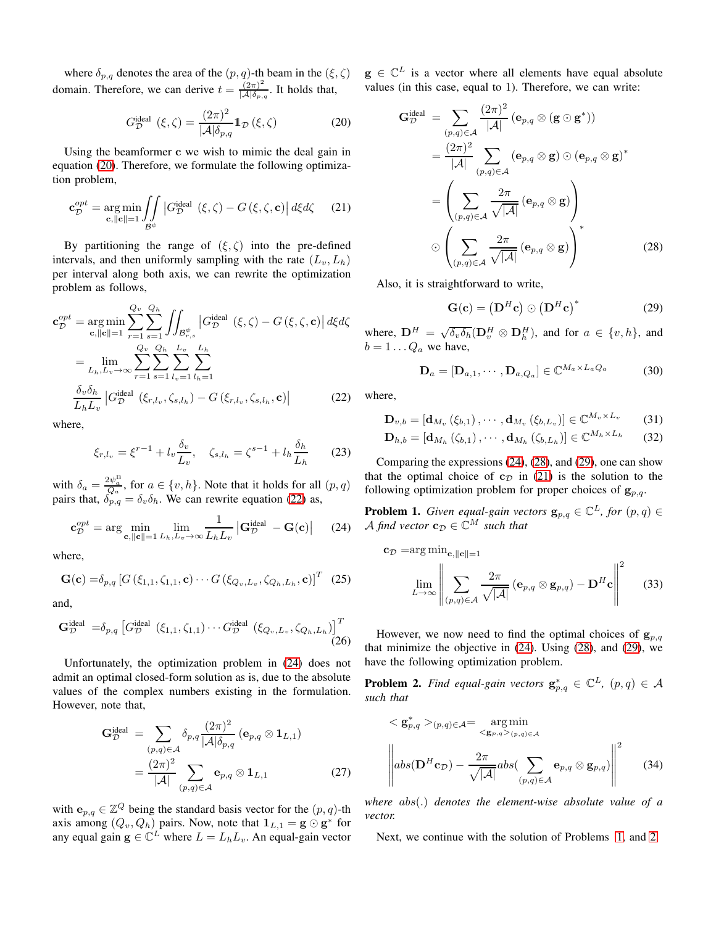where  $\delta_{p,q}$  denotes the area of the  $(p,q)$ -th beam in the  $(\xi,\zeta)$ domain. Therefore, we can derive  $t = \frac{(2\pi)^2}{\vert A \vert \delta}$  $\frac{(2\pi)}{|\mathcal{A}|\delta_{p,q}}$ . It holds that,

<span id="page-3-0"></span>
$$
G_{\mathcal{D}}^{\text{ideal}}\left(\xi,\zeta\right) = \frac{(2\pi)^2}{|\mathcal{A}|\delta_{p,q}} \mathbb{1}_{\mathcal{D}}\left(\xi,\zeta\right) \tag{20}
$$

Using the beamformer c we wish to mimic the deal gain in equation [\(20\)](#page-3-0). Therefore, we formulate the following optimization problem,

$$
\mathbf{c}_{\mathcal{D}}^{opt} = \underset{\mathbf{c}, ||\mathbf{c}|| = 1}{\arg \min} \iint_{\mathcal{B}^{\psi}} \left| G_{\mathcal{D}}^{\text{ideal}}(\xi, \zeta) - G(\xi, \zeta, \mathbf{c}) \right| d\xi d\zeta \qquad (21)
$$

By partitioning the range of  $(\xi, \zeta)$  into the pre-defined intervals, and then uniformly sampling with the rate  $(L_v, L_h)$ per interval along both axis, we can rewrite the optimization problem as follows,

$$
\mathbf{c}_{\mathcal{D}}^{opt} = \underset{\mathbf{c}, \|\mathbf{c}\|=1}{\arg \min} \sum_{r=1}^{Q_v} \sum_{s=1}^{Q_h} \iint_{\mathcal{B}_{r,s}^{\psi}} |G_{\mathcal{D}}^{\text{ideal}}(\xi, \zeta) - G(\xi, \zeta, \mathbf{c})| d\xi d\zeta
$$

$$
= \lim_{L_h, L_v \to \infty} \sum_{r=1}^{Q_v} \sum_{s=1}^{Q_h} \sum_{l_v=1}^{L_v} \sum_{l_h=1}^{L_h}
$$

$$
\frac{\delta_v \delta_h}{L_h L_v} |G_{\mathcal{D}}^{\text{ideal}}(\xi_{r,l_v}, \zeta_{s,l_h}) - G(\xi_{r,l_v}, \zeta_{s,l_h}, \mathbf{c})| \tag{22}
$$

where,

$$
\xi_{r,l_v} = \xi^{r-1} + l_v \frac{\delta_v}{L_v}, \quad \zeta_{s,l_h} = \zeta^{s-1} + l_h \frac{\delta_h}{L_h} \qquad (23)
$$

with  $\delta_a = \frac{2\psi_a^B}{Q_a}$ , for  $a \in \{v, h\}$ . Note that it holds for all  $(p, q)$ pairs that,  $\delta_{p,q} = \delta_v \delta_h$ . We can rewrite equation [\(22\)](#page-3-1) as,

$$
\mathbf{c}_{\mathcal{D}}^{opt} = \arg \min_{\mathbf{c}, ||\mathbf{c}|| = 1} \lim_{L_h, L_v \to \infty} \frac{1}{L_h L_v} \left| \mathbf{G}_{\mathcal{D}}^{\text{ideal}} - \mathbf{G}(\mathbf{c}) \right| \tag{24}
$$

where,

$$
\mathbf{G}(\mathbf{c}) = \delta_{p,q} \left[ G \left( \xi_{1,1}, \zeta_{1,1}, \mathbf{c} \right) \cdots G \left( \xi_{Q_v, L_v}, \zeta_{Q_h, L_h}, \mathbf{c} \right) \right]^T \tag{25}
$$

and,

$$
\mathbf{G}_{\mathcal{D}}^{\text{ideal}} = \delta_{p,q} \left[ G_{\mathcal{D}}^{\text{ideal}} \left( \xi_{1,1}, \zeta_{1,1} \right) \cdots G_{\mathcal{D}}^{\text{ideal}} \left( \xi_{Q_v, L_v}, \zeta_{Q_h, L_h} \right) \right]^T \tag{26}
$$

Unfortunately, the optimization problem in [\(24\)](#page-3-2) does not admit an optimal closed-form solution as is, due to the absolute values of the complex numbers existing in the formulation. However, note that,

$$
\mathbf{G}_{\mathcal{D}}^{\text{ideal}} = \sum_{(p,q)\in\mathcal{A}} \delta_{p,q} \frac{(2\pi)^2}{|\mathcal{A}| \delta_{p,q}} (\mathbf{e}_{p,q} \otimes \mathbf{1}_{L,1})
$$

$$
= \frac{(2\pi)^2}{|\mathcal{A}|} \sum_{(p,q)\in\mathcal{A}} \mathbf{e}_{p,q} \otimes \mathbf{1}_{L,1}
$$
(27)

with  $e_{p,q} \in \mathbb{Z}^Q$  being the standard basis vector for the  $(p,q)$ -th axis among  $(Q_v, Q_h)$  pairs. Now, note that  $\mathbf{1}_{L,1} = \mathbf{g} \odot \mathbf{g}^*$  for any equal gain  $g \in \mathbb{C}^L$  where  $L = L_h L_v$ . An equal-gain vector  $g \in \mathbb{C}^L$  is a vector where all elements have equal absolute values (in this case, equal to 1). Therefore, we can write:

$$
\mathbf{G}_{\mathcal{D}}^{\text{ideal}} = \sum_{(p,q)\in\mathcal{A}} \frac{(2\pi)^2}{|\mathcal{A}|} (\mathbf{e}_{p,q} \otimes (\mathbf{g} \odot \mathbf{g}^*))
$$
  
\n
$$
= \frac{(2\pi)^2}{|\mathcal{A}|} \sum_{(p,q)\in\mathcal{A}} (\mathbf{e}_{p,q} \otimes \mathbf{g}) \odot (\mathbf{e}_{p,q} \otimes \mathbf{g})^*
$$
  
\n
$$
= \left(\sum_{(p,q)\in\mathcal{A}} \frac{2\pi}{\sqrt{|\mathcal{A}|}} (\mathbf{e}_{p,q} \otimes \mathbf{g})\right)
$$
  
\n
$$
\odot \left(\sum_{(p,q)\in\mathcal{A}} \frac{2\pi}{\sqrt{|\mathcal{A}|}} (\mathbf{e}_{p,q} \otimes \mathbf{g})\right)^*
$$
(28)

<span id="page-3-5"></span>Also, it is straightforward to write,

<span id="page-3-4"></span><span id="page-3-3"></span>
$$
\mathbf{G}(\mathbf{c}) = \left(\mathbf{D}^H \mathbf{c}\right) \odot \left(\mathbf{D}^H \mathbf{c}\right)^* \tag{29}
$$

where,  $\mathbf{D}^H = \sqrt{\delta_v \delta_h} (\mathbf{D}_v^H \otimes \mathbf{D}_h^H)$ , and for  $a \in \{v, h\}$ , and  $b = 1 \dots Q_a$  we have,

$$
\mathbf{D}_a = [\mathbf{D}_{a,1}, \cdots, \mathbf{D}_{a,Q_a}] \in \mathbb{C}^{M_a \times L_a Q_a}
$$
(30)

<span id="page-3-1"></span>where,

$$
\mathbf{D}_{v,b} = \left[\mathbf{d}_{M_v}\left(\xi_{b,1}\right),\cdots,\mathbf{d}_{M_v}\left(\xi_{b,L_v}\right)\right] \in \mathbb{C}^{M_v \times L_v}
$$
 (31)

$$
\mathbf{D}_{h,b} = \left[\mathbf{d}_{M_h}\left(\zeta_{b,1}\right),\cdots,\mathbf{d}_{M_h}\left(\zeta_{b,L_h}\right)\right] \in \mathbb{C}^{M_h \times L_h} \tag{32}
$$

<span id="page-3-8"></span>Comparing the expressions [\(24\)](#page-3-2), [\(28\)](#page-3-3), and [\(29\)](#page-3-4), one can show that the optimal choice of  $c_{\mathcal{D}}$  in [\(21\)](#page-3-5) is the solution to the following optimization problem for proper choices of  $g_{p,q}$ .

<span id="page-3-2"></span>**Problem 1.** *Given equal-gain vectors*  $\mathbf{g}_{p,q} \in \mathbb{C}^L$ *, for*  $(p,q) \in$ A find vector  $\mathbf{c}_{\mathcal{D}} \in \mathbb{C}^M$  such that

<span id="page-3-6"></span>
$$
\mathbf{c}_{\mathcal{D}} = \arg \min_{\mathbf{c}, \|\mathbf{c}\| = 1} \left\| \sum_{(p,q) \in \mathcal{A}} \frac{2\pi}{\sqrt{|\mathcal{A}|}} \left( \mathbf{e}_{p,q} \otimes \mathbf{g}_{p,q} \right) - \mathbf{D}^{H} \mathbf{c} \right\|^{2} \qquad (33)
$$

However, we now need to find the optimal choices of  $g_{p,q}$ that minimize the objective in [\(24\)](#page-3-2). Using [\(28\)](#page-3-3), and [\(29\)](#page-3-4), we have the following optimization problem.

**Problem 2.** Find equal-gain vectors  $\mathbf{g}_{p,q}^* \in \mathbb{C}^L$ ,  $(p,q) \in \mathcal{A}$ *such that*

<span id="page-3-7"></span>
$$
\langle \mathbf{g}_{p,q}^* \rangle_{(p,q)\in\mathcal{A}} = \underset{\langle \mathbf{g}_{p,q} \rangle_{(p,q)\in\mathcal{A}}}{\arg\min} \n \left\| abs(\mathbf{D}^H \mathbf{c}_D) - \frac{2\pi}{\sqrt{|\mathcal{A}|}} abs(\sum_{(p,q)\in\mathcal{A}} \mathbf{e}_{p,q} \otimes \mathbf{g}_{p,q}) \right\|^2
$$
\n(34)

*where* abs(.) *denotes the element-wise absolute value of a vector.*

Next, we continue with the solution of Problems [1,](#page-3-6) and [2.](#page-3-7)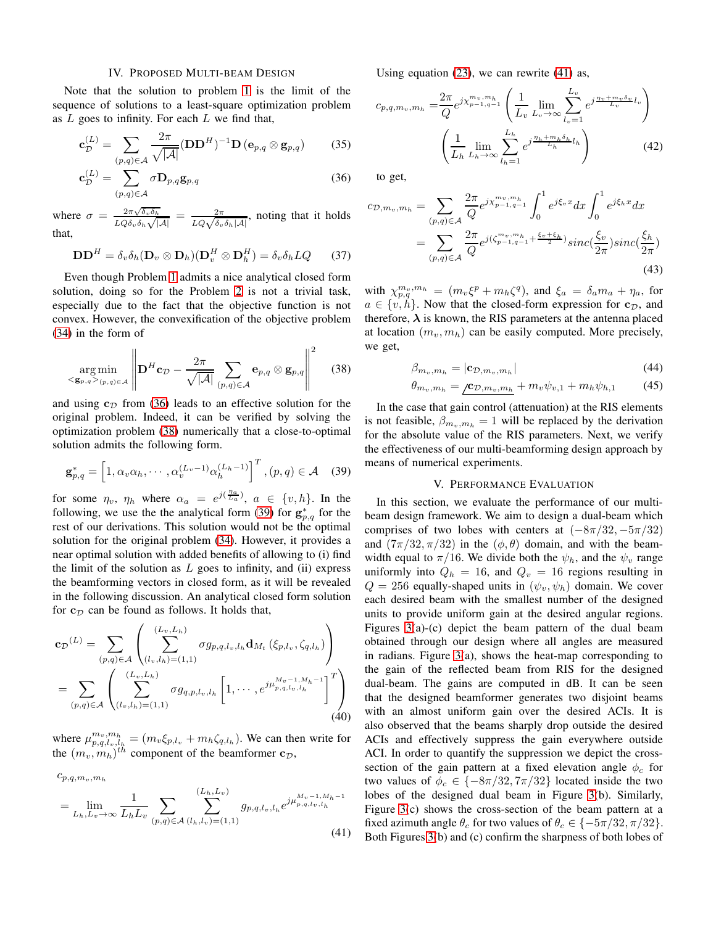#### IV. PROPOSED MULTI-BEAM DESIGN

<span id="page-4-0"></span>Note that the solution to problem [1](#page-3-6) is the limit of the sequence of solutions to a least-square optimization problem as  $L$  goes to infinity. For each  $L$  we find that,

$$
\mathbf{c}_{\mathcal{D}}^{(L)} = \sum_{(p,q)\in\mathcal{A}} \frac{2\pi}{\sqrt{|\mathcal{A}|}} (\mathbf{D}\mathbf{D}^{H})^{-1} \mathbf{D} \left(\mathbf{e}_{p,q} \otimes \mathbf{g}_{p,q}\right) \tag{35}
$$

$$
\mathbf{c}_{\mathcal{D}}^{(L)} = \sum_{(p,q)\in\mathcal{A}} \sigma \mathbf{D}_{p,q} \mathbf{g}_{p,q} \tag{36}
$$

where  $\sigma = \frac{2\pi\sqrt{\delta_v\delta_h}}{LOS}$  $rac{2\pi\sqrt{\delta_v\delta_h}}{LQ\delta_v\delta_h\sqrt{|A|}} = \frac{2\pi}{LQ\sqrt{\delta_v\delta_h|A|}}$ , noting that it holds that,

$$
\mathbf{D}\mathbf{D}^{H} = \delta_{v}\delta_{h}(\mathbf{D}_{v} \otimes \mathbf{D}_{h})(\mathbf{D}_{v}^{H} \otimes \mathbf{D}_{h}^{H}) = \delta_{v}\delta_{h}LQ \qquad (37)
$$

Even though Problem [1](#page-3-6) admits a nice analytical closed form solution, doing so for the Problem [2](#page-3-7) is not a trivial task, especially due to the fact that the objective function is not convex. However, the convexification of the objective problem [\(34\)](#page-3-7) in the form of

$$
\argmin_{\langle \mathbf{g}_{p,q} \rangle_{(p,q)\in\mathcal{A}}} \left\| \mathbf{D}^H \mathbf{c}_{\mathcal{D}} - \frac{2\pi}{\sqrt{|\mathcal{A}|}} \sum_{(p,q)\in\mathcal{A}} \mathbf{e}_{p,q} \otimes \mathbf{g}_{p,q} \right\|^2 \quad (38)
$$

and using  $c<sub>D</sub>$  from [\(36\)](#page-4-2) leads to an effective solution for the original problem. Indeed, it can be verified by solving the optimization problem [\(38\)](#page-4-3) numerically that a close-to-optimal solution admits the following form.

$$
\mathbf{g}_{p,q}^{*} = \left[1, \alpha_v \alpha_h, \cdots, \alpha_v^{(L_v - 1)} \alpha_h^{(L_h - 1)}\right]^T, (p, q) \in \mathcal{A} \quad (39)
$$

for some  $\eta_v$ ,  $\eta_h$  where  $\alpha_a = e^{j(\frac{\eta_a}{L_a})}$ ,  $a \in \{v, h\}$ . In the following, we use the the analytical form [\(39\)](#page-4-4) for  $g_{p,q}^*$  for the rest of our derivations. This solution would not be the optimal solution for the original problem [\(34\)](#page-3-7). However, it provides a near optimal solution with added benefits of allowing to (i) find the limit of the solution as  $L$  goes to infinity, and (ii) express the beamforming vectors in closed form, as it will be revealed in the following discussion. An analytical closed form solution for  $c_{\mathcal{D}}$  can be found as follows. It holds that,

$$
\mathbf{c}_{\mathcal{D}}^{(L)} = \sum_{(p,q)\in\mathcal{A}} \left( \sum_{(l_v,l_h)=(1,1)}^{(L_v,L_h)} \sigma g_{p,q,l_v,l_h} \mathbf{d}_{M_t} \left( \xi_{p,l_v}, \zeta_{q,l_h} \right) \right)
$$

$$
= \sum_{(p,q)\in\mathcal{A}} \left( \sum_{(l_v,l_h)=(1,1)}^{(L_v,L_h)} \sigma g_{q,p,l_v,l_h} \left[ 1, \cdots, e^{j\mu_{p,q,l_v,l_h}^{M_v-1,M_h-1}} \right]^T \right)
$$
(40)

where  $\mu_{p,q,l_v,l_h}^{m_v,m_h} = (m_v \xi_{p,l_v} + m_h \zeta_{q,l_h})$ . We can then write for the  $(m_v, m_h)^{th}$  component of the beamformer  $\mathbf{c}_{\mathcal{D}}$ ,

 $c_{p,q,m_v,m_h}$ 

<span id="page-4-5"></span>
$$
= \lim_{L_h, L_v \to \infty} \frac{1}{L_h L_v} \sum_{(p,q) \in \mathcal{A}} \sum_{(l_h, l_v) = (1,1)}^{(L_h, L_v)} g_{p,q,l_v,l_h} e^{j \mu_{p,q,l_v,l_h}^{M_v - 1, M_h - 1}}
$$
\n(41)

Using equation [\(23\)](#page-3-8), we can rewrite [\(41\)](#page-4-5) as,

$$
c_{p,q,m_v,m_h} = \frac{2\pi}{Q} e^{j\chi_{p-1,q-1}^{m_v,m_h}} \left( \frac{1}{L_v} \lim_{L_v \to \infty} \sum_{l_v=1}^{L_v} e^{j\frac{\eta_v + m_v \delta_v}{L_v} l_v} \right)
$$

$$
\left( \frac{1}{L_h} \lim_{L_h \to \infty} \sum_{l_h=1}^{L_h} e^{j\frac{\eta_h + m_h \delta_h}{L_h} l_h} \right)
$$
(42)

<span id="page-4-2"></span>to get,

$$
c_{\mathcal{D},m_v,m_h} = \sum_{(p,q)\in\mathcal{A}} \frac{2\pi}{Q} e^{j\chi_{p-1,q-1}^{m_v, m_h}} \int_0^1 e^{j\xi_v x} dx \int_0^1 e^{j\xi_h x} dx
$$
  
= 
$$
\sum_{(p,q)\in\mathcal{A}} \frac{2\pi}{Q} e^{j(\zeta_{p-1,q-1}^{m_v, m_h} + \frac{\xi_v + \xi_h}{2})} sinc(\frac{\xi_v}{2\pi}) sinc(\frac{\xi_h}{2\pi})
$$
(43)

with  $\chi_{p,q}^{m_v,m_h} = (m_v \xi^p + m_h \zeta^q)$ , and  $\xi_a = \delta_a m_a + \eta_a$ , for  $a \in \{v, h\}$ . Now that the closed-form expression for  $c_{\mathcal{D}}$ , and therefore,  $\lambda$  is known, the RIS parameters at the antenna placed at location  $(m_v, m_h)$  can be easily computed. More precisely, we get,

$$
\beta_{m_v, m_h} = |\mathbf{c}_{\mathcal{D}, m_v, m_h}| \tag{44}
$$

$$
\theta_{m_v, m_h} = \underline{\mathcal{L}_{\mathcal{D}, m_v, m_h}} + m_v \psi_{v,1} + m_h \psi_{h,1} \tag{45}
$$

<span id="page-4-3"></span>In the case that gain control (attenuation) at the RIS elements is not feasible,  $\beta_{m_v,m_h} = 1$  will be replaced by the derivation for the absolute value of the RIS parameters. Next, we verify the effectiveness of our multi-beamforming design approach by means of numerical experiments.

## V. PERFORMANCE EVALUATION

<span id="page-4-4"></span><span id="page-4-1"></span>In this section, we evaluate the performance of our multibeam design framework. We aim to design a dual-beam which comprises of two lobes with centers at  $(-8\pi/32, -5\pi/32)$ and  $(7\pi/32, \pi/32)$  in the  $(\phi, \theta)$  domain, and with the beamwidth equal to  $\pi/16$ . We divide both the  $\psi_h$ , and the  $\psi_v$  range uniformly into  $Q_h = 16$ , and  $Q_v = 16$  regions resulting in  $Q = 256$  equally-shaped units in  $(\psi_v, \psi_h)$  domain. We cover each desired beam with the smallest number of the designed units to provide uniform gain at the desired angular regions. Figures [3\(](#page-5-16)a)-(c) depict the beam pattern of the dual beam obtained through our design where all angles are measured in radians. Figure  $3(a)$ , shows the heat-map corresponding to the gain of the reflected beam from RIS for the designed dual-beam. The gains are computed in dB. It can be seen that the designed beamformer generates two disjoint beams with an almost uniform gain over the desired ACIs. It is also observed that the beams sharply drop outside the desired ACIs and effectively suppress the gain everywhere outside ACI. In order to quantify the suppression we depict the crosssection of the gain pattern at a fixed elevation angle  $\phi_c$  for two values of  $\phi_c \in \{-8\pi/32, 7\pi/32\}$  located inside the two lobes of the designed dual beam in Figure [3\(](#page-5-16)b). Similarly, Figure [3\(](#page-5-16)c) shows the cross-section of the beam pattern at a fixed azimuth angle  $\theta_c$  for two values of  $\theta_c \in \{-5\pi/32, \pi/32\}.$ Both Figures [3\(](#page-5-16)b) and (c) confirm the sharpness of both lobes of